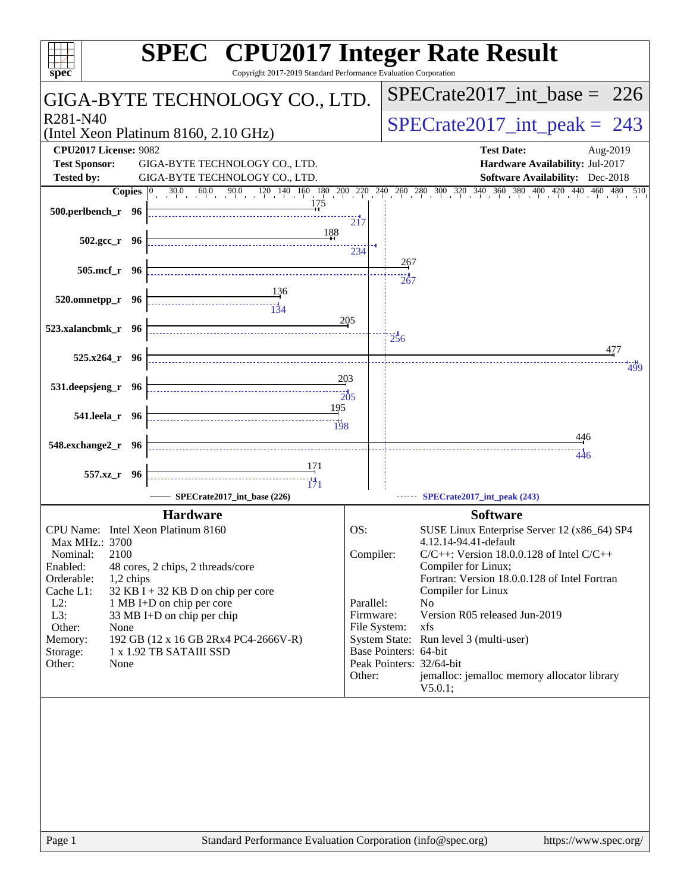| $spec^*$                                             | <b>SPEC<sup>®</sup></b> CPU2017 Integer Rate Result<br>Copyright 2017-2019 Standard Performance Evaluation Corporation |                           |                                 |                                                                                                                                                                                              |
|------------------------------------------------------|------------------------------------------------------------------------------------------------------------------------|---------------------------|---------------------------------|----------------------------------------------------------------------------------------------------------------------------------------------------------------------------------------------|
|                                                      | GIGA-BYTE TECHNOLOGY CO., LTD.                                                                                         |                           |                                 | $SPECTate2017\_int\_base = 226$                                                                                                                                                              |
| R <sub>281</sub> -N <sub>40</sub>                    | (Intel Xeon Platinum 8160, 2.10 GHz)                                                                                   |                           | $SPECrate2017\_int\_peak = 243$ |                                                                                                                                                                                              |
| <b>CPU2017 License: 9082</b><br><b>Test Sponsor:</b> | GIGA-BYTE TECHNOLOGY CO., LTD.<br>GIGA-BYTE TECHNOLOGY CO., LTD.                                                       |                           |                                 | <b>Test Date:</b><br>Aug-2019<br>Hardware Availability: Jul-2017                                                                                                                             |
| <b>Tested by:</b>                                    |                                                                                                                        |                           |                                 | <b>Software Availability:</b> Dec-2018                                                                                                                                                       |
| 500.perlbench_r 96                                   |                                                                                                                        | 217                       |                                 | <b>Copies</b> $\begin{bmatrix} 0 & 30.0 & 60.0 & 90.0 & 120 & 140 & 160 & 180 & 200 & 220 & 240 & 260 & 280 & 300 & 320 & 340 & 360 & 380 & 400 & 420 & 440 & 460 & 480 & 510 \end{bmatrix}$ |
| $502.\text{gcc r}$ 96                                | 188                                                                                                                    | 234                       |                                 |                                                                                                                                                                                              |
| 505.mcf_r 96                                         |                                                                                                                        |                           | 267<br>267                      |                                                                                                                                                                                              |
| 520.omnetpp_r 96                                     | <u>134</u>                                                                                                             |                           |                                 |                                                                                                                                                                                              |
| 523.xalancbmk_r 96                                   |                                                                                                                        | 205                       | $\frac{1}{256}$                 |                                                                                                                                                                                              |
| $525.x264$ $r$ 96                                    | 203                                                                                                                    |                           |                                 | 477<br>499                                                                                                                                                                                   |
| 531.deepsjeng_r 96                                   | 195                                                                                                                    | 205                       |                                 |                                                                                                                                                                                              |
| 541.leela_r 96                                       |                                                                                                                        |                           |                                 | 446                                                                                                                                                                                          |
| 548.exchange2_r 96                                   |                                                                                                                        |                           |                                 | $-446$                                                                                                                                                                                       |
| 557.xz_r 96                                          | 171<br>$\frac{14}{171}$<br>SPECrate2017 int base (226)                                                                 |                           |                                 | SPECrate2017_int_peak (243)                                                                                                                                                                  |
|                                                      | <b>Hardware</b>                                                                                                        |                           |                                 | <b>Software</b>                                                                                                                                                                              |
| CPU Name: Intel Xeon Platinum 8160<br>Max MHz.: 3700 |                                                                                                                        | OS:                       |                                 | SUSE Linux Enterprise Server 12 (x86_64) SP4<br>4.12.14-94.41-default                                                                                                                        |
| 2100<br>Nominal:<br>Enabled:                         | 48 cores, 2 chips, 2 threads/core                                                                                      | Compiler:                 |                                 | $C/C++$ : Version 18.0.0.128 of Intel $C/C++$<br>Compiler for Linux;                                                                                                                         |
| Orderable:<br>1,2 chips<br>Cache L1:<br>$L2$ :       | $32$ KB I + 32 KB D on chip per core<br>1 MB I+D on chip per core                                                      | Parallel:                 |                                 | Fortran: Version 18.0.0.128 of Intel Fortran<br>Compiler for Linux<br>N <sub>0</sub>                                                                                                         |
| L3:<br>Other:<br>None                                | 33 MB I+D on chip per chip                                                                                             | Firmware:<br>File System: |                                 | Version R05 released Jun-2019<br>xfs                                                                                                                                                         |
| Memory:<br>Storage:<br>Other:<br>None                | 192 GB (12 x 16 GB 2Rx4 PC4-2666V-R)<br>1 x 1.92 TB SATAIII SSD                                                        |                           | Base Pointers: 64-bit           | System State: Run level 3 (multi-user)<br>Peak Pointers: 32/64-bit                                                                                                                           |
|                                                      |                                                                                                                        | Other:                    |                                 | jemalloc: jemalloc memory allocator library<br>V5.0.1;                                                                                                                                       |
|                                                      |                                                                                                                        |                           |                                 |                                                                                                                                                                                              |
|                                                      |                                                                                                                        |                           |                                 |                                                                                                                                                                                              |
|                                                      |                                                                                                                        |                           |                                 |                                                                                                                                                                                              |
|                                                      |                                                                                                                        |                           |                                 |                                                                                                                                                                                              |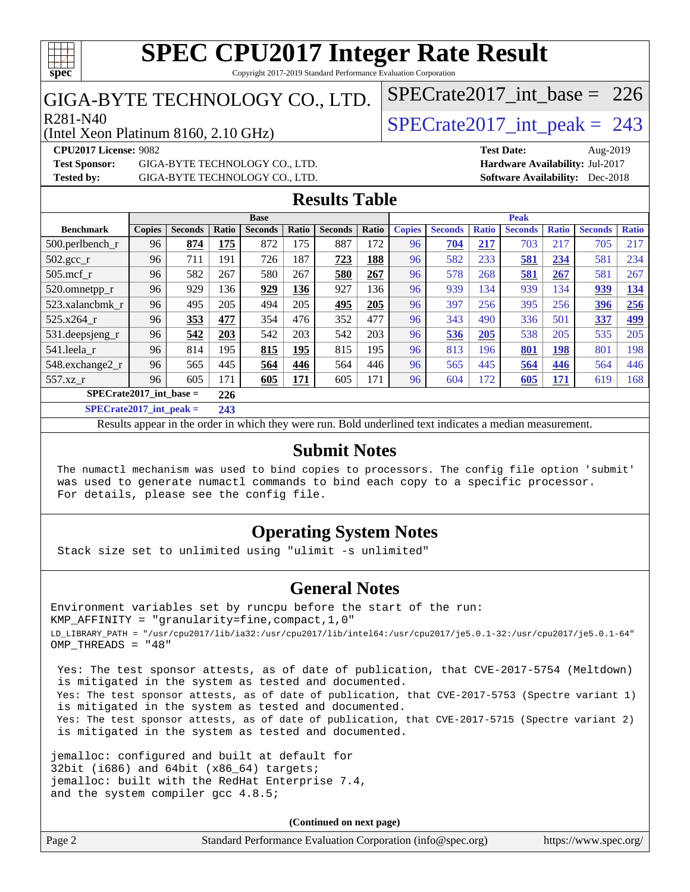# **[spec](http://www.spec.org/)**

### **[SPEC CPU2017 Integer Rate Result](http://www.spec.org/auto/cpu2017/Docs/result-fields.html#SPECCPU2017IntegerRateResult)** Copyright 2017-2019 Standard Performance Evaluation Corporation

# GIGA-BYTE TECHNOLOGY CO., LTD.

(Intel Xeon Platinum 8160, 2.10 GHz)

 $R_{281-N40}$ <br>[SPECrate2017\\_int\\_peak =](http://www.spec.org/auto/cpu2017/Docs/result-fields.html#SPECrate2017intpeak) 243 [SPECrate2017\\_int\\_base =](http://www.spec.org/auto/cpu2017/Docs/result-fields.html#SPECrate2017intbase) 226

**[Test Sponsor:](http://www.spec.org/auto/cpu2017/Docs/result-fields.html#TestSponsor)** GIGA-BYTE TECHNOLOGY CO., LTD. **[Hardware Availability:](http://www.spec.org/auto/cpu2017/Docs/result-fields.html#HardwareAvailability)** Jul-2017 **[Tested by:](http://www.spec.org/auto/cpu2017/Docs/result-fields.html#Testedby)** GIGA-BYTE TECHNOLOGY CO., LTD. **[Software Availability:](http://www.spec.org/auto/cpu2017/Docs/result-fields.html#SoftwareAvailability)** Dec-2018

**[CPU2017 License:](http://www.spec.org/auto/cpu2017/Docs/result-fields.html#CPU2017License)** 9082 **[Test Date:](http://www.spec.org/auto/cpu2017/Docs/result-fields.html#TestDate)** Aug-2019

## **[Results Table](http://www.spec.org/auto/cpu2017/Docs/result-fields.html#ResultsTable)**

|                              |               |                |               | <b>Base</b>    |       |                |       |               |                |              | <b>Peak</b>    |              |                |              |
|------------------------------|---------------|----------------|---------------|----------------|-------|----------------|-------|---------------|----------------|--------------|----------------|--------------|----------------|--------------|
| <b>Benchmark</b>             | <b>Copies</b> | <b>Seconds</b> | Ratio         | <b>Seconds</b> | Ratio | <b>Seconds</b> | Ratio | <b>Copies</b> | <b>Seconds</b> | <b>Ratio</b> | <b>Seconds</b> | <b>Ratio</b> | <b>Seconds</b> | <b>Ratio</b> |
| 500.perlbench_r              | 96            | 874            | 175           | 872            | 175   | 887            | 172   | 96            | 704            | 217          | 703            | 217          | 705            | 217          |
| $502.\text{gcc}_r$           | 96            | 711            | 191           | 726            | 187   | 723            | 188   | 96            | 582            | 233          | <u>581</u>     | 234          | 581            | 234          |
| $505$ .mcf r                 | 96            | 582            | 267           | 580            | 267   | 580            | 267   | 96            | 578            | 268          | 581            | 267          | 581            | 267          |
| 520.omnetpp_r                | 96            | 929            | 136           | 929            | 136   | 927            | 136   | 96            | 939            | 134          | 939            | 134          | 939            | 134          |
| 523.xalancbmk r              | 96            | 495            | 205           | 494            | 205   | 495            | 205   | 96            | 397            | 256          | 395            | 256          | 396            | 256          |
| 525.x264 r                   | 96            | 353            | 477           | 354            | 476   | 352            | 477   | 96            | 343            | 490          | 336            | 501          | 337            | 499          |
| 531.deepsjeng_r              | 96            | 542            | 203           | 542            | 203   | 542            | 203   | 96            | 536            | 205          | 538            | 205          | 535            | 205          |
| 541.leela r                  | 96            | 814            | 195           | 815            | 195   | 815            | 195   | 96            | 813            | 196          | 801            | <b>198</b>   | 801            | 198          |
| 548.exchange2_r              | 96            | 565            | 445           | 564            | 446   | 564            | 446   | 96            | 565            | 445          | 564            | 446          | 564            | 446          |
| 557.xz                       | 96            | 605            | 171           | 605            | 171   | 605            | 171   | 96            | 604            | 72           | 605            | <u>171</u>   | 619            | 168          |
| $SPECrate2017$ int base =    |               |                | 226           |                |       |                |       |               |                |              |                |              |                |              |
| $CDPLO \rightarrow A04E + I$ |               | . .            | $\sim$ $\sim$ |                |       |                |       |               |                |              |                |              |                |              |

**[SPECrate2017\\_int\\_peak =](http://www.spec.org/auto/cpu2017/Docs/result-fields.html#SPECrate2017intpeak) 243**

Results appear in the [order in which they were run](http://www.spec.org/auto/cpu2017/Docs/result-fields.html#RunOrder). Bold underlined text [indicates a median measurement](http://www.spec.org/auto/cpu2017/Docs/result-fields.html#Median).

## **[Submit Notes](http://www.spec.org/auto/cpu2017/Docs/result-fields.html#SubmitNotes)**

 The numactl mechanism was used to bind copies to processors. The config file option 'submit' was used to generate numactl commands to bind each copy to a specific processor. For details, please see the config file.

# **[Operating System Notes](http://www.spec.org/auto/cpu2017/Docs/result-fields.html#OperatingSystemNotes)**

Stack size set to unlimited using "ulimit -s unlimited"

## **[General Notes](http://www.spec.org/auto/cpu2017/Docs/result-fields.html#GeneralNotes)**

Environment variables set by runcpu before the start of the run: KMP\_AFFINITY = "granularity=fine,compact,1,0" LD\_LIBRARY\_PATH = "/usr/cpu2017/lib/ia32:/usr/cpu2017/lib/intel64:/usr/cpu2017/je5.0.1-32:/usr/cpu2017/je5.0.1-64" OMP\_THREADS = "48"

 Yes: The test sponsor attests, as of date of publication, that CVE-2017-5754 (Meltdown) is mitigated in the system as tested and documented. Yes: The test sponsor attests, as of date of publication, that CVE-2017-5753 (Spectre variant 1) is mitigated in the system as tested and documented. Yes: The test sponsor attests, as of date of publication, that CVE-2017-5715 (Spectre variant 2) is mitigated in the system as tested and documented.

jemalloc: configured and built at default for 32bit (i686) and 64bit (x86\_64) targets; jemalloc: built with the RedHat Enterprise 7.4, and the system compiler gcc 4.8.5;

**(Continued on next page)**

| Page 2<br>Standard Performance Evaluation Corporation (info@spec.org) | https://www.spec.org/ |
|-----------------------------------------------------------------------|-----------------------|
|-----------------------------------------------------------------------|-----------------------|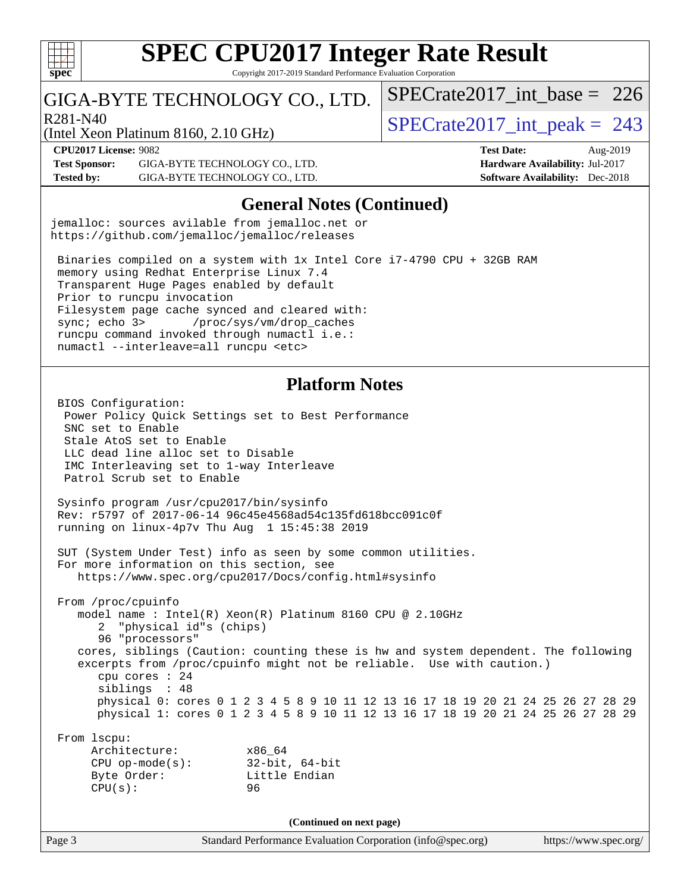

Copyright 2017-2019 Standard Performance Evaluation Corporation

# GIGA-BYTE TECHNOLOGY CO., LTD.

R281-N40<br>  $SPECTate2017$ \_int\_peak = 243

 $SPECrate2017\_int\_base = 226$ 

(Intel Xeon Platinum 8160, 2.10 GHz)

**[Test Sponsor:](http://www.spec.org/auto/cpu2017/Docs/result-fields.html#TestSponsor)** GIGA-BYTE TECHNOLOGY CO., LTD. **[Hardware Availability:](http://www.spec.org/auto/cpu2017/Docs/result-fields.html#HardwareAvailability)** Jul-2017 **[Tested by:](http://www.spec.org/auto/cpu2017/Docs/result-fields.html#Testedby)** GIGA-BYTE TECHNOLOGY CO., LTD. **[Software Availability:](http://www.spec.org/auto/cpu2017/Docs/result-fields.html#SoftwareAvailability)** Dec-2018

**[CPU2017 License:](http://www.spec.org/auto/cpu2017/Docs/result-fields.html#CPU2017License)** 9082 **[Test Date:](http://www.spec.org/auto/cpu2017/Docs/result-fields.html#TestDate)** Aug-2019

### **[General Notes \(Continued\)](http://www.spec.org/auto/cpu2017/Docs/result-fields.html#GeneralNotes)**

jemalloc: sources avilable from jemalloc.net or <https://github.com/jemalloc/jemalloc/releases>

 Binaries compiled on a system with 1x Intel Core i7-4790 CPU + 32GB RAM memory using Redhat Enterprise Linux 7.4 Transparent Huge Pages enabled by default Prior to runcpu invocation Filesystem page cache synced and cleared with: sync; echo 3> /proc/sys/vm/drop\_caches runcpu command invoked through numactl i.e.: numactl --interleave=all runcpu <etc>

## **[Platform Notes](http://www.spec.org/auto/cpu2017/Docs/result-fields.html#PlatformNotes)**

 BIOS Configuration: Power Policy Quick Settings set to Best Performance SNC set to Enable Stale AtoS set to Enable LLC dead line alloc set to Disable IMC Interleaving set to 1-way Interleave Patrol Scrub set to Enable

 Sysinfo program /usr/cpu2017/bin/sysinfo Rev: r5797 of 2017-06-14 96c45e4568ad54c135fd618bcc091c0f running on linux-4p7v Thu Aug 1 15:45:38 2019

 SUT (System Under Test) info as seen by some common utilities. For more information on this section, see <https://www.spec.org/cpu2017/Docs/config.html#sysinfo>

 From /proc/cpuinfo model name : Intel(R) Xeon(R) Platinum 8160 CPU @ 2.10GHz 2 "physical id"s (chips) 96 "processors" cores, siblings (Caution: counting these is hw and system dependent. The following excerpts from /proc/cpuinfo might not be reliable. Use with caution.) cpu cores : 24 siblings : 48 physical 0: cores 0 1 2 3 4 5 8 9 10 11 12 13 16 17 18 19 20 21 24 25 26 27 28 29 physical 1: cores 0 1 2 3 4 5 8 9 10 11 12 13 16 17 18 19 20 21 24 25 26 27 28 29

#### From lscpu:

| Architecture:     | x86 64         |
|-------------------|----------------|
| $CPU$ op-mode(s): | 32-bit, 64-bit |
| Byte Order:       | Little Endian  |
| CPU(s):           | 96             |
|                   |                |

**(Continued on next page)**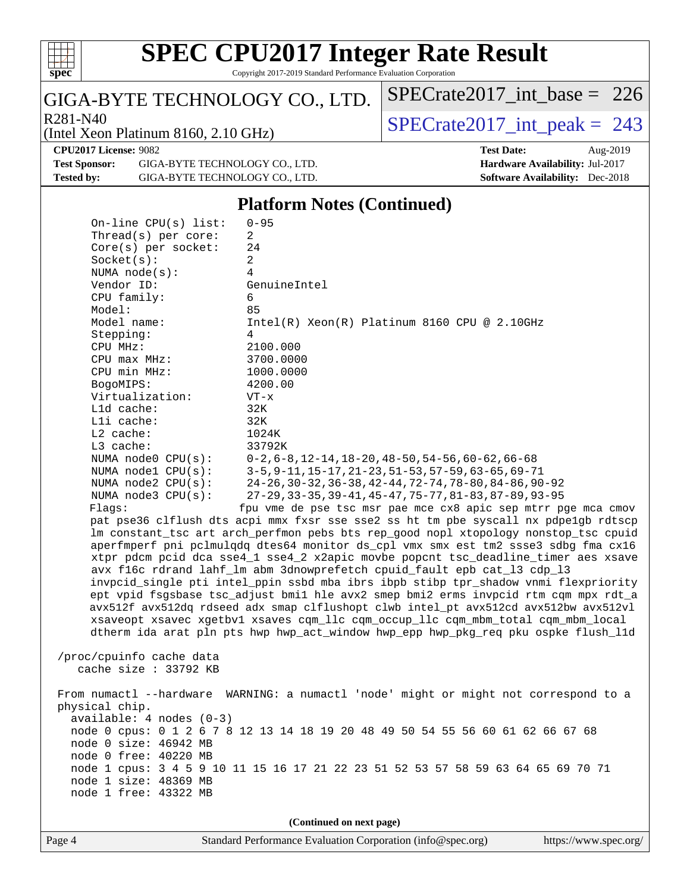

Copyright 2017-2019 Standard Performance Evaluation Corporation

## GIGA-BYTE TECHNOLOGY CO., LTD.

 $R_{281-N40}$ <br>[SPECrate2017\\_int\\_peak =](http://www.spec.org/auto/cpu2017/Docs/result-fields.html#SPECrate2017intpeak) 243

 $SPECrate2017\_int\_base = 226$ 

(Intel Xeon Platinum 8160, 2.10 GHz)

**[CPU2017 License:](http://www.spec.org/auto/cpu2017/Docs/result-fields.html#CPU2017License)** 9082 **[Test Sponsor:](http://www.spec.org/auto/cpu2017/Docs/result-fields.html#TestSponsor)** GIGA-BYTE TECHNOLOGY CO., LTD. **[Tested by:](http://www.spec.org/auto/cpu2017/Docs/result-fields.html#Testedby)** GIGA-BYTE TECHNOLOGY CO., LTD.

| <b>Test Date:</b>                      | Aug- $2019$ |
|----------------------------------------|-------------|
| <b>Hardware Availability: Jul-2017</b> |             |
| <b>Software Availability:</b> Dec-2018 |             |

#### **[Platform Notes \(Continued\)](http://www.spec.org/auto/cpu2017/Docs/result-fields.html#PlatformNotes)**

 On-line CPU(s) list: 0-95 Thread(s) per core: 2 Core(s) per socket: 24 Socket(s): 2 NUMA node(s): 4 Vendor ID: GenuineIntel CPU family: 6 Model: 85 Model name: Intel(R) Xeon(R) Platinum 8160 CPU @ 2.10GHz Stepping: 4 CPU MHz: 2100.000 CPU max MHz: 3700.0000 CPU min MHz: 1000.0000 BogoMIPS: 4200.00 Virtualization: VT-x L1d cache: 32K L1i cache: 32K L2 cache: 1024K L3 cache: 33792K NUMA node0 CPU(s): 0-2,6-8,12-14,18-20,48-50,54-56,60-62,66-68 NUMA node1 CPU(s): 3-5,9-11,15-17,21-23,51-53,57-59,63-65,69-71 NUMA node2 CPU(s): 24-26,30-32,36-38,42-44,72-74,78-80,84-86,90-92 NUMA node3 CPU(s): 27-29,33-35,39-41,45-47,75-77,81-83,87-89,93-95 Flags: fpu vme de pse tsc msr pae mce cx8 apic sep mtrr pge mca cmov pat pse36 clflush dts acpi mmx fxsr sse sse2 ss ht tm pbe syscall nx pdpe1gb rdtscp lm constant\_tsc art arch\_perfmon pebs bts rep\_good nopl xtopology nonstop\_tsc cpuid aperfmperf pni pclmulqdq dtes64 monitor ds\_cpl vmx smx est tm2 ssse3 sdbg fma cx16 xtpr pdcm pcid dca sse4\_1 sse4\_2 x2apic movbe popcnt tsc\_deadline\_timer aes xsave avx f16c rdrand lahf\_lm abm 3dnowprefetch cpuid\_fault epb cat\_l3 cdp\_l3 invpcid\_single pti intel\_ppin ssbd mba ibrs ibpb stibp tpr\_shadow vnmi flexpriority ept vpid fsgsbase tsc\_adjust bmi1 hle avx2 smep bmi2 erms invpcid rtm cqm mpx rdt\_a avx512f avx512dq rdseed adx smap clflushopt clwb intel\_pt avx512cd avx512bw avx512vl xsaveopt xsavec xgetbv1 xsaves cqm\_llc cqm\_occup\_llc cqm\_mbm\_total cqm\_mbm\_local dtherm ida arat pln pts hwp hwp\_act\_window hwp\_epp hwp\_pkg\_req pku ospke flush\_l1d /proc/cpuinfo cache data cache size : 33792 KB From numactl --hardware WARNING: a numactl 'node' might or might not correspond to a physical chip. available: 4 nodes (0-3) node 0 cpus: 0 1 2 6 7 8 12 13 14 18 19 20 48 49 50 54 55 56 60 61 62 66 67 68 node 0 size: 46942 MB node 0 free: 40220 MB node 1 cpus: 3 4 5 9 10 11 15 16 17 21 22 23 51 52 53 57 58 59 63 64 65 69 70 71 node 1 size: 48369 MB node 1 free: 43322 MB **(Continued on next page)**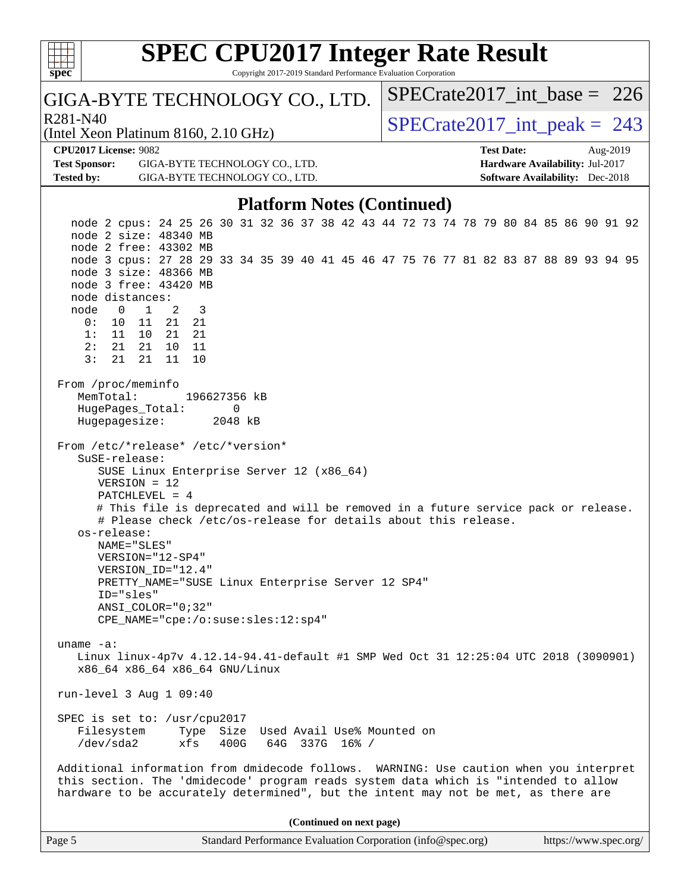| <b>SPEC CPU2017 Integer Rate Result</b>                                                |                                        |
|----------------------------------------------------------------------------------------|----------------------------------------|
| Copyright 2017-2019 Standard Performance Evaluation Corporation<br>$spec^*$            |                                        |
| GIGA-BYTE TECHNOLOGY CO., LTD.                                                         | $SPECrate2017\_int\_base = 226$        |
| R <sub>281</sub> -N <sub>40</sub><br>(Intel Xeon Platinum 8160, 2.10 GHz)              | $SPECrate2017\_int\_peak = 243$        |
| <b>CPU2017 License: 9082</b>                                                           | <b>Test Date:</b><br>Aug-2019          |
| <b>Test Sponsor:</b><br>GIGA-BYTE TECHNOLOGY CO., LTD.                                 | Hardware Availability: Jul-2017        |
| <b>Tested by:</b><br>GIGA-BYTE TECHNOLOGY CO., LTD.                                    | <b>Software Availability:</b> Dec-2018 |
| <b>Platform Notes (Continued)</b>                                                      |                                        |
| node 2 cpus: 24 25 26 30 31 32 36 37 38 42 43 44 72 73 74 78 79 80 84 85 86 90 91 92   |                                        |
| node 2 size: 48340 MB<br>node 2 free: 43302 MB                                         |                                        |
| node 3 cpus: 27 28 29 33 34 35 39 40 41 45 46 47 75 76 77 81 82 83 87 88 89 93 94 95   |                                        |
| node 3 size: 48366 MB                                                                  |                                        |
| node 3 free: 43420 MB                                                                  |                                        |
| node distances:<br>2<br>node<br>$\overline{1}$<br>3<br>$\overline{0}$                  |                                        |
| 0:<br>10 11<br>21<br>21                                                                |                                        |
| 11 10 21 21<br>1:                                                                      |                                        |
| 2:<br>21<br>10 11<br>21<br>3:<br>21<br>21<br>11<br>10                                  |                                        |
|                                                                                        |                                        |
| From /proc/meminfo                                                                     |                                        |
| MemTotal:<br>196627356 kB                                                              |                                        |
| HugePages_Total:<br>0<br>Hugepagesize:<br>2048 kB                                      |                                        |
|                                                                                        |                                        |
| From /etc/*release* /etc/*version*                                                     |                                        |
| SuSE-release:<br>SUSE Linux Enterprise Server 12 (x86_64)                              |                                        |
| $VERSION = 12$                                                                         |                                        |
| $PATCHLEVEL = 4$                                                                       |                                        |
| # This file is deprecated and will be removed in a future service pack or release.     |                                        |
| # Please check /etc/os-release for details about this release.<br>os-release:          |                                        |
| NAME="SLES"                                                                            |                                        |
| VERSION="12-SP4"                                                                       |                                        |
| VERSION_ID="12.4"                                                                      |                                        |
| PRETTY_NAME="SUSE Linux Enterprise Server 12 SP4"<br>ID="sles"                         |                                        |
| ANSI COLOR="0;32"                                                                      |                                        |
| CPE_NAME="cpe:/o:suse:sles:12:sp4"                                                     |                                        |
| $uname -a$ :                                                                           |                                        |
| Linux linux-4p7v 4.12.14-94.41-default #1 SMP Wed Oct 31 12:25:04 UTC 2018 (3090901)   |                                        |
| x86_64 x86_64 x86_64 GNU/Linux                                                         |                                        |
|                                                                                        |                                        |
| run-level 3 Aug 1 09:40                                                                |                                        |
| SPEC is set to: /usr/cpu2017                                                           |                                        |
| Filesystem<br>Type Size Used Avail Use% Mounted on                                     |                                        |
| /dev/sda2<br>xfs<br>400G<br>64G 337G 16% /                                             |                                        |
| Additional information from dmidecode follows. WARNING: Use caution when you interpret |                                        |
| this section. The 'dmidecode' program reads system data which is "intended to allow    |                                        |
| hardware to be accurately determined", but the intent may not be met, as there are     |                                        |
|                                                                                        |                                        |
| (Continued on next page)                                                               |                                        |
| Page 5<br>Standard Performance Evaluation Corporation (info@spec.org)                  | https://www.spec.org/                  |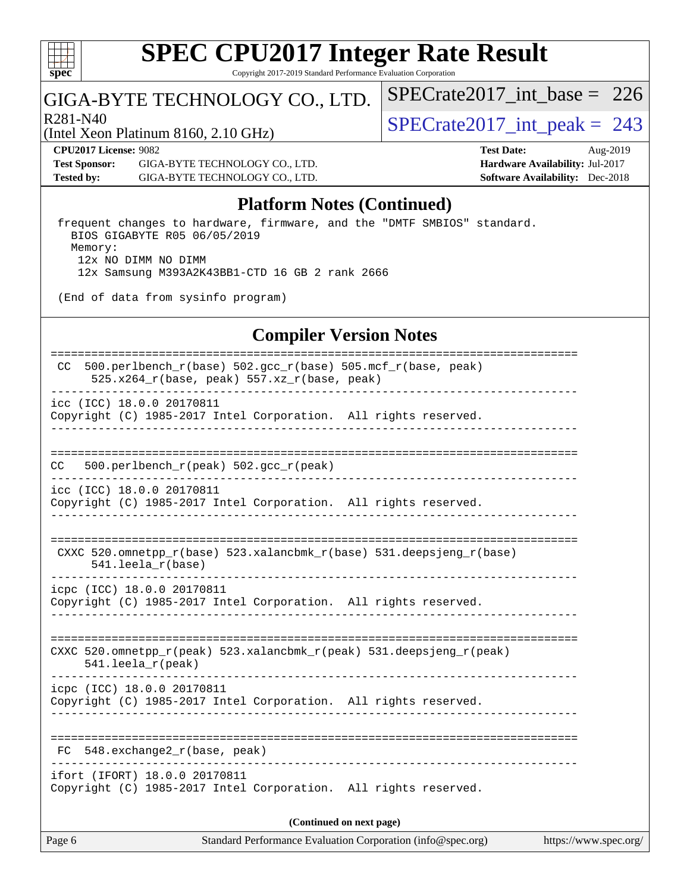

Copyright 2017-2019 Standard Performance Evaluation Corporation

## GIGA-BYTE TECHNOLOGY CO., LTD.

 $R^{281-N40}$ <br>  $\langle$ [SPECrate2017\\_int\\_peak =](http://www.spec.org/auto/cpu2017/Docs/result-fields.html#SPECrate2017intpeak) 243

[SPECrate2017\\_int\\_base =](http://www.spec.org/auto/cpu2017/Docs/result-fields.html#SPECrate2017intbase) 226

(Intel Xeon Platinum 8160, 2.10 GHz)

**[CPU2017 License:](http://www.spec.org/auto/cpu2017/Docs/result-fields.html#CPU2017License)** 9082 **[Test Date:](http://www.spec.org/auto/cpu2017/Docs/result-fields.html#TestDate)** Aug-2019 **[Test Sponsor:](http://www.spec.org/auto/cpu2017/Docs/result-fields.html#TestSponsor)** GIGA-BYTE TECHNOLOGY CO., LTD. **[Hardware Availability:](http://www.spec.org/auto/cpu2017/Docs/result-fields.html#HardwareAvailability)** Jul-2017 **[Tested by:](http://www.spec.org/auto/cpu2017/Docs/result-fields.html#Testedby)** GIGA-BYTE TECHNOLOGY CO., LTD. **[Software Availability:](http://www.spec.org/auto/cpu2017/Docs/result-fields.html#SoftwareAvailability)** Dec-2018

## **[Platform Notes \(Continued\)](http://www.spec.org/auto/cpu2017/Docs/result-fields.html#PlatformNotes)**

 frequent changes to hardware, firmware, and the "DMTF SMBIOS" standard. BIOS GIGABYTE R05 06/05/2019 Memory: 12x NO DIMM NO DIMM 12x Samsung M393A2K43BB1-CTD 16 GB 2 rank 2666

(End of data from sysinfo program)

## **[Compiler Version Notes](http://www.spec.org/auto/cpu2017/Docs/result-fields.html#CompilerVersionNotes)**

| 500.perlbench_r(base) 502.gcc_r(base) 505.mcf_r(base, peak)<br>CC.<br>$525.x264_r(base, peak) 557.xz_r(base, peak)$ |  |  |  |  |
|---------------------------------------------------------------------------------------------------------------------|--|--|--|--|
| icc (ICC) 18.0.0 20170811<br>Copyright (C) 1985-2017 Intel Corporation. All rights reserved.                        |  |  |  |  |
| 500.perlbench_r(peak) 502.gcc_r(peak)<br>CC.                                                                        |  |  |  |  |
| icc (ICC) 18.0.0 20170811<br>Copyright (C) 1985-2017 Intel Corporation. All rights reserved.                        |  |  |  |  |
| CXXC 520.omnetpp_r(base) 523.xalancbmk_r(base) 531.deepsjeng_r(base)<br>$541.$ leela $r(base)$                      |  |  |  |  |
| icpc (ICC) 18.0.0 20170811<br>Copyright (C) 1985-2017 Intel Corporation. All rights reserved.                       |  |  |  |  |
| CXXC 520.omnetpp_r(peak) 523.xalancbmk_r(peak) 531.deepsjeng_r(peak)<br>$541.$ leela_r(peak)                        |  |  |  |  |
| icpc (ICC) 18.0.0 20170811<br>Copyright (C) 1985-2017 Intel Corporation. All rights reserved.                       |  |  |  |  |
| FC 548.exchange2_r(base, peak)                                                                                      |  |  |  |  |
| ifort (IFORT) 18.0.0 20170811<br>Copyright (C) 1985-2017 Intel Corporation. All rights reserved.                    |  |  |  |  |
| (Continued on next page)                                                                                            |  |  |  |  |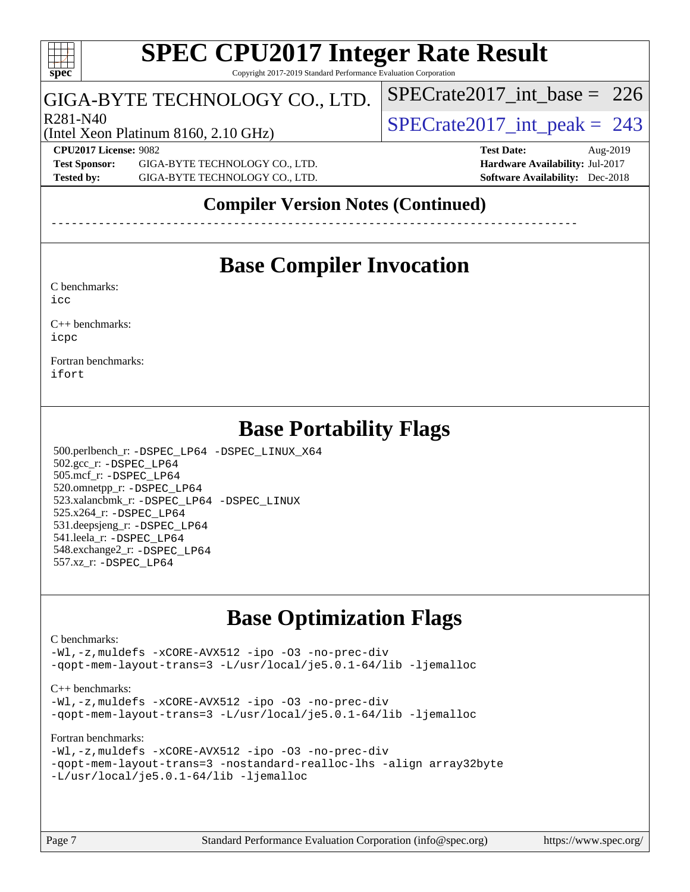## **[SPEC CPU2017 Integer Rate Result](http://www.spec.org/auto/cpu2017/Docs/result-fields.html#SPECCPU2017IntegerRateResult)** Copyright 2017-2019 Standard Performance Evaluation Corporation

# GIGA-BYTE TECHNOLOGY CO., LTD.

(Intel Xeon Platinum 8160, 2.10 GHz)

R281-N40<br>  $SPECTate2017$ \_int\_peak = 243

[SPECrate2017\\_int\\_base =](http://www.spec.org/auto/cpu2017/Docs/result-fields.html#SPECrate2017intbase) 226

**[Test Sponsor:](http://www.spec.org/auto/cpu2017/Docs/result-fields.html#TestSponsor)** GIGA-BYTE TECHNOLOGY CO., LTD. **[Hardware Availability:](http://www.spec.org/auto/cpu2017/Docs/result-fields.html#HardwareAvailability)** Jul-2017 **[Tested by:](http://www.spec.org/auto/cpu2017/Docs/result-fields.html#Testedby)** GIGA-BYTE TECHNOLOGY CO., LTD. **[Software Availability:](http://www.spec.org/auto/cpu2017/Docs/result-fields.html#SoftwareAvailability)** Dec-2018

**[CPU2017 License:](http://www.spec.org/auto/cpu2017/Docs/result-fields.html#CPU2017License)** 9082 **[Test Date:](http://www.spec.org/auto/cpu2017/Docs/result-fields.html#TestDate)** Aug-2019

# **[Compiler Version Notes \(Continued\)](http://www.spec.org/auto/cpu2017/Docs/result-fields.html#CompilerVersionNotes)**

------------------------------------------------------------------------------

# **[Base Compiler Invocation](http://www.spec.org/auto/cpu2017/Docs/result-fields.html#BaseCompilerInvocation)**

[C benchmarks](http://www.spec.org/auto/cpu2017/Docs/result-fields.html#Cbenchmarks): [icc](http://www.spec.org/cpu2017/results/res2019q3/cpu2017-20190805-16472.flags.html#user_CCbase_intel_icc_18.0_66fc1ee009f7361af1fbd72ca7dcefbb700085f36577c54f309893dd4ec40d12360134090235512931783d35fd58c0460139e722d5067c5574d8eaf2b3e37e92)

[C++ benchmarks:](http://www.spec.org/auto/cpu2017/Docs/result-fields.html#CXXbenchmarks) [icpc](http://www.spec.org/cpu2017/results/res2019q3/cpu2017-20190805-16472.flags.html#user_CXXbase_intel_icpc_18.0_c510b6838c7f56d33e37e94d029a35b4a7bccf4766a728ee175e80a419847e808290a9b78be685c44ab727ea267ec2f070ec5dc83b407c0218cded6866a35d07)

[Fortran benchmarks](http://www.spec.org/auto/cpu2017/Docs/result-fields.html#Fortranbenchmarks): [ifort](http://www.spec.org/cpu2017/results/res2019q3/cpu2017-20190805-16472.flags.html#user_FCbase_intel_ifort_18.0_8111460550e3ca792625aed983ce982f94888b8b503583aa7ba2b8303487b4d8a21a13e7191a45c5fd58ff318f48f9492884d4413fa793fd88dd292cad7027ca)

# **[Base Portability Flags](http://www.spec.org/auto/cpu2017/Docs/result-fields.html#BasePortabilityFlags)**

 500.perlbench\_r: [-DSPEC\\_LP64](http://www.spec.org/cpu2017/results/res2019q3/cpu2017-20190805-16472.flags.html#b500.perlbench_r_basePORTABILITY_DSPEC_LP64) [-DSPEC\\_LINUX\\_X64](http://www.spec.org/cpu2017/results/res2019q3/cpu2017-20190805-16472.flags.html#b500.perlbench_r_baseCPORTABILITY_DSPEC_LINUX_X64) 502.gcc\_r: [-DSPEC\\_LP64](http://www.spec.org/cpu2017/results/res2019q3/cpu2017-20190805-16472.flags.html#suite_basePORTABILITY502_gcc_r_DSPEC_LP64) 505.mcf\_r: [-DSPEC\\_LP64](http://www.spec.org/cpu2017/results/res2019q3/cpu2017-20190805-16472.flags.html#suite_basePORTABILITY505_mcf_r_DSPEC_LP64) 520.omnetpp\_r: [-DSPEC\\_LP64](http://www.spec.org/cpu2017/results/res2019q3/cpu2017-20190805-16472.flags.html#suite_basePORTABILITY520_omnetpp_r_DSPEC_LP64) 523.xalancbmk\_r: [-DSPEC\\_LP64](http://www.spec.org/cpu2017/results/res2019q3/cpu2017-20190805-16472.flags.html#suite_basePORTABILITY523_xalancbmk_r_DSPEC_LP64) [-DSPEC\\_LINUX](http://www.spec.org/cpu2017/results/res2019q3/cpu2017-20190805-16472.flags.html#b523.xalancbmk_r_baseCXXPORTABILITY_DSPEC_LINUX) 525.x264\_r: [-DSPEC\\_LP64](http://www.spec.org/cpu2017/results/res2019q3/cpu2017-20190805-16472.flags.html#suite_basePORTABILITY525_x264_r_DSPEC_LP64) 531.deepsjeng\_r: [-DSPEC\\_LP64](http://www.spec.org/cpu2017/results/res2019q3/cpu2017-20190805-16472.flags.html#suite_basePORTABILITY531_deepsjeng_r_DSPEC_LP64) 541.leela\_r: [-DSPEC\\_LP64](http://www.spec.org/cpu2017/results/res2019q3/cpu2017-20190805-16472.flags.html#suite_basePORTABILITY541_leela_r_DSPEC_LP64) 548.exchange2\_r: [-DSPEC\\_LP64](http://www.spec.org/cpu2017/results/res2019q3/cpu2017-20190805-16472.flags.html#suite_basePORTABILITY548_exchange2_r_DSPEC_LP64) 557.xz\_r: [-DSPEC\\_LP64](http://www.spec.org/cpu2017/results/res2019q3/cpu2017-20190805-16472.flags.html#suite_basePORTABILITY557_xz_r_DSPEC_LP64)

# **[Base Optimization Flags](http://www.spec.org/auto/cpu2017/Docs/result-fields.html#BaseOptimizationFlags)**

#### [C benchmarks](http://www.spec.org/auto/cpu2017/Docs/result-fields.html#Cbenchmarks):

[-Wl,-z,muldefs](http://www.spec.org/cpu2017/results/res2019q3/cpu2017-20190805-16472.flags.html#user_CCbase_link_force_multiple1_b4cbdb97b34bdee9ceefcfe54f4c8ea74255f0b02a4b23e853cdb0e18eb4525ac79b5a88067c842dd0ee6996c24547a27a4b99331201badda8798ef8a743f577) [-xCORE-AVX512](http://www.spec.org/cpu2017/results/res2019q3/cpu2017-20190805-16472.flags.html#user_CCbase_f-xCORE-AVX512) [-ipo](http://www.spec.org/cpu2017/results/res2019q3/cpu2017-20190805-16472.flags.html#user_CCbase_f-ipo) [-O3](http://www.spec.org/cpu2017/results/res2019q3/cpu2017-20190805-16472.flags.html#user_CCbase_f-O3) [-no-prec-div](http://www.spec.org/cpu2017/results/res2019q3/cpu2017-20190805-16472.flags.html#user_CCbase_f-no-prec-div) [-qopt-mem-layout-trans=3](http://www.spec.org/cpu2017/results/res2019q3/cpu2017-20190805-16472.flags.html#user_CCbase_f-qopt-mem-layout-trans_de80db37974c74b1f0e20d883f0b675c88c3b01e9d123adea9b28688d64333345fb62bc4a798493513fdb68f60282f9a726aa07f478b2f7113531aecce732043) [-L/usr/local/je5.0.1-64/lib](http://www.spec.org/cpu2017/results/res2019q3/cpu2017-20190805-16472.flags.html#user_CCbase_jemalloc_link_path64_4b10a636b7bce113509b17f3bd0d6226c5fb2346b9178c2d0232c14f04ab830f976640479e5c33dc2bcbbdad86ecfb6634cbbd4418746f06f368b512fced5394) [-ljemalloc](http://www.spec.org/cpu2017/results/res2019q3/cpu2017-20190805-16472.flags.html#user_CCbase_jemalloc_link_lib_d1249b907c500fa1c0672f44f562e3d0f79738ae9e3c4a9c376d49f265a04b9c99b167ecedbf6711b3085be911c67ff61f150a17b3472be731631ba4d0471706)

#### [C++ benchmarks:](http://www.spec.org/auto/cpu2017/Docs/result-fields.html#CXXbenchmarks)

[-Wl,-z,muldefs](http://www.spec.org/cpu2017/results/res2019q3/cpu2017-20190805-16472.flags.html#user_CXXbase_link_force_multiple1_b4cbdb97b34bdee9ceefcfe54f4c8ea74255f0b02a4b23e853cdb0e18eb4525ac79b5a88067c842dd0ee6996c24547a27a4b99331201badda8798ef8a743f577) [-xCORE-AVX512](http://www.spec.org/cpu2017/results/res2019q3/cpu2017-20190805-16472.flags.html#user_CXXbase_f-xCORE-AVX512) [-ipo](http://www.spec.org/cpu2017/results/res2019q3/cpu2017-20190805-16472.flags.html#user_CXXbase_f-ipo) [-O3](http://www.spec.org/cpu2017/results/res2019q3/cpu2017-20190805-16472.flags.html#user_CXXbase_f-O3) [-no-prec-div](http://www.spec.org/cpu2017/results/res2019q3/cpu2017-20190805-16472.flags.html#user_CXXbase_f-no-prec-div) [-qopt-mem-layout-trans=3](http://www.spec.org/cpu2017/results/res2019q3/cpu2017-20190805-16472.flags.html#user_CXXbase_f-qopt-mem-layout-trans_de80db37974c74b1f0e20d883f0b675c88c3b01e9d123adea9b28688d64333345fb62bc4a798493513fdb68f60282f9a726aa07f478b2f7113531aecce732043) [-L/usr/local/je5.0.1-64/lib](http://www.spec.org/cpu2017/results/res2019q3/cpu2017-20190805-16472.flags.html#user_CXXbase_jemalloc_link_path64_4b10a636b7bce113509b17f3bd0d6226c5fb2346b9178c2d0232c14f04ab830f976640479e5c33dc2bcbbdad86ecfb6634cbbd4418746f06f368b512fced5394) [-ljemalloc](http://www.spec.org/cpu2017/results/res2019q3/cpu2017-20190805-16472.flags.html#user_CXXbase_jemalloc_link_lib_d1249b907c500fa1c0672f44f562e3d0f79738ae9e3c4a9c376d49f265a04b9c99b167ecedbf6711b3085be911c67ff61f150a17b3472be731631ba4d0471706)

#### [Fortran benchmarks](http://www.spec.org/auto/cpu2017/Docs/result-fields.html#Fortranbenchmarks):

```
-Wl,-z,muldefs -xCORE-AVX512 -ipo -O3 -no-prec-div
-qopt-mem-layout-trans=3 -nostandard-realloc-lhs -align array32byte
-L/usr/local/je5.0.1-64/lib -ljemalloc
```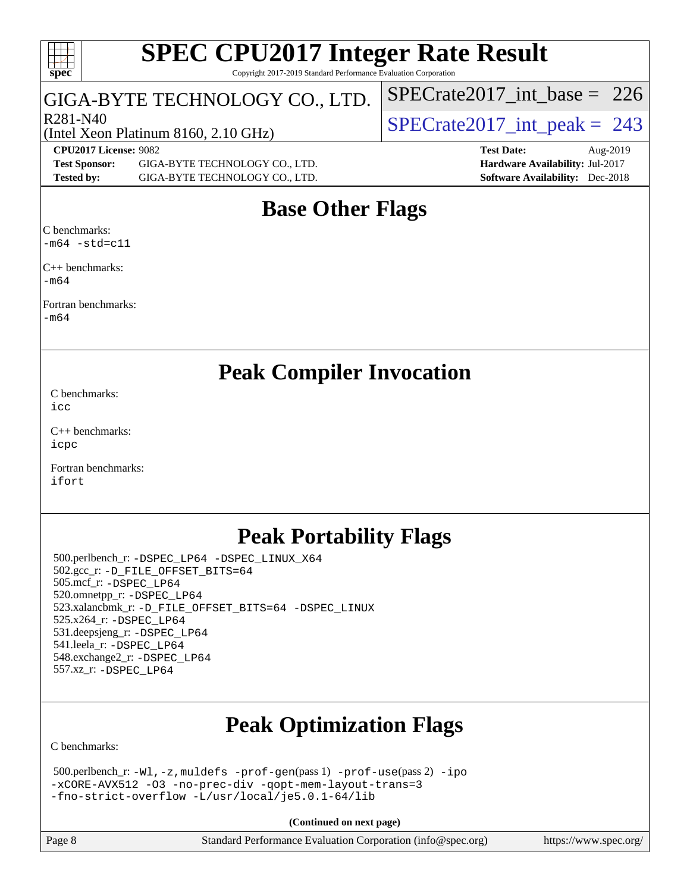| <b>SPEC CPU2017 Integer Rate Result</b> |
|-----------------------------------------|
|-----------------------------------------|

Copyright 2017-2019 Standard Performance Evaluation Corporation

# GIGA-BYTE TECHNOLOGY CO., LTD.

**[spec](http://www.spec.org/)**

 $+++$ 

(Intel Xeon Platinum 8160, 2.10 GHz)

 $R^{281-N40}$ <br>Clotal Year Platinum 8160 2.10 GHz)  $SPECTate2017\_int\_peak = 243$ 

[SPECrate2017\\_int\\_base =](http://www.spec.org/auto/cpu2017/Docs/result-fields.html#SPECrate2017intbase) 226

**[Test Sponsor:](http://www.spec.org/auto/cpu2017/Docs/result-fields.html#TestSponsor)** GIGA-BYTE TECHNOLOGY CO., LTD. **[Hardware Availability:](http://www.spec.org/auto/cpu2017/Docs/result-fields.html#HardwareAvailability)** Jul-2017 **[Tested by:](http://www.spec.org/auto/cpu2017/Docs/result-fields.html#Testedby)** GIGA-BYTE TECHNOLOGY CO., LTD. **[Software Availability:](http://www.spec.org/auto/cpu2017/Docs/result-fields.html#SoftwareAvailability)** Dec-2018

# **[CPU2017 License:](http://www.spec.org/auto/cpu2017/Docs/result-fields.html#CPU2017License)** 9082 **[Test Date:](http://www.spec.org/auto/cpu2017/Docs/result-fields.html#TestDate)** Aug-2019

# **[Base Other Flags](http://www.spec.org/auto/cpu2017/Docs/result-fields.html#BaseOtherFlags)**

[C benchmarks:](http://www.spec.org/auto/cpu2017/Docs/result-fields.html#Cbenchmarks)  $-m64$   $-std=cl1$ 

[C++ benchmarks:](http://www.spec.org/auto/cpu2017/Docs/result-fields.html#CXXbenchmarks) [-m64](http://www.spec.org/cpu2017/results/res2019q3/cpu2017-20190805-16472.flags.html#user_CXXbase_intel_intel64_18.0_af43caccfc8ded86e7699f2159af6efc7655f51387b94da716254467f3c01020a5059329e2569e4053f409e7c9202a7efc638f7a6d1ffb3f52dea4a3e31d82ab)

[Fortran benchmarks](http://www.spec.org/auto/cpu2017/Docs/result-fields.html#Fortranbenchmarks):

[-m64](http://www.spec.org/cpu2017/results/res2019q3/cpu2017-20190805-16472.flags.html#user_FCbase_intel_intel64_18.0_af43caccfc8ded86e7699f2159af6efc7655f51387b94da716254467f3c01020a5059329e2569e4053f409e7c9202a7efc638f7a6d1ffb3f52dea4a3e31d82ab)

# **[Peak Compiler Invocation](http://www.spec.org/auto/cpu2017/Docs/result-fields.html#PeakCompilerInvocation)**

[C benchmarks](http://www.spec.org/auto/cpu2017/Docs/result-fields.html#Cbenchmarks): [icc](http://www.spec.org/cpu2017/results/res2019q3/cpu2017-20190805-16472.flags.html#user_CCpeak_intel_icc_18.0_66fc1ee009f7361af1fbd72ca7dcefbb700085f36577c54f309893dd4ec40d12360134090235512931783d35fd58c0460139e722d5067c5574d8eaf2b3e37e92)

[C++ benchmarks:](http://www.spec.org/auto/cpu2017/Docs/result-fields.html#CXXbenchmarks) [icpc](http://www.spec.org/cpu2017/results/res2019q3/cpu2017-20190805-16472.flags.html#user_CXXpeak_intel_icpc_18.0_c510b6838c7f56d33e37e94d029a35b4a7bccf4766a728ee175e80a419847e808290a9b78be685c44ab727ea267ec2f070ec5dc83b407c0218cded6866a35d07)

[Fortran benchmarks](http://www.spec.org/auto/cpu2017/Docs/result-fields.html#Fortranbenchmarks): [ifort](http://www.spec.org/cpu2017/results/res2019q3/cpu2017-20190805-16472.flags.html#user_FCpeak_intel_ifort_18.0_8111460550e3ca792625aed983ce982f94888b8b503583aa7ba2b8303487b4d8a21a13e7191a45c5fd58ff318f48f9492884d4413fa793fd88dd292cad7027ca)

# **[Peak Portability Flags](http://www.spec.org/auto/cpu2017/Docs/result-fields.html#PeakPortabilityFlags)**

 500.perlbench\_r: [-DSPEC\\_LP64](http://www.spec.org/cpu2017/results/res2019q3/cpu2017-20190805-16472.flags.html#b500.perlbench_r_peakPORTABILITY_DSPEC_LP64) [-DSPEC\\_LINUX\\_X64](http://www.spec.org/cpu2017/results/res2019q3/cpu2017-20190805-16472.flags.html#b500.perlbench_r_peakCPORTABILITY_DSPEC_LINUX_X64) 502.gcc\_r: [-D\\_FILE\\_OFFSET\\_BITS=64](http://www.spec.org/cpu2017/results/res2019q3/cpu2017-20190805-16472.flags.html#user_peakPORTABILITY502_gcc_r_file_offset_bits_64_5ae949a99b284ddf4e95728d47cb0843d81b2eb0e18bdfe74bbf0f61d0b064f4bda2f10ea5eb90e1dcab0e84dbc592acfc5018bc955c18609f94ddb8d550002c) 505.mcf\_r: [-DSPEC\\_LP64](http://www.spec.org/cpu2017/results/res2019q3/cpu2017-20190805-16472.flags.html#suite_peakPORTABILITY505_mcf_r_DSPEC_LP64) 520.omnetpp\_r: [-DSPEC\\_LP64](http://www.spec.org/cpu2017/results/res2019q3/cpu2017-20190805-16472.flags.html#suite_peakPORTABILITY520_omnetpp_r_DSPEC_LP64) 523.xalancbmk\_r: [-D\\_FILE\\_OFFSET\\_BITS=64](http://www.spec.org/cpu2017/results/res2019q3/cpu2017-20190805-16472.flags.html#user_peakPORTABILITY523_xalancbmk_r_file_offset_bits_64_5ae949a99b284ddf4e95728d47cb0843d81b2eb0e18bdfe74bbf0f61d0b064f4bda2f10ea5eb90e1dcab0e84dbc592acfc5018bc955c18609f94ddb8d550002c) [-DSPEC\\_LINUX](http://www.spec.org/cpu2017/results/res2019q3/cpu2017-20190805-16472.flags.html#b523.xalancbmk_r_peakCXXPORTABILITY_DSPEC_LINUX) 525.x264\_r: [-DSPEC\\_LP64](http://www.spec.org/cpu2017/results/res2019q3/cpu2017-20190805-16472.flags.html#suite_peakPORTABILITY525_x264_r_DSPEC_LP64) 531.deepsjeng\_r: [-DSPEC\\_LP64](http://www.spec.org/cpu2017/results/res2019q3/cpu2017-20190805-16472.flags.html#suite_peakPORTABILITY531_deepsjeng_r_DSPEC_LP64) 541.leela\_r: [-DSPEC\\_LP64](http://www.spec.org/cpu2017/results/res2019q3/cpu2017-20190805-16472.flags.html#suite_peakPORTABILITY541_leela_r_DSPEC_LP64) 548.exchange2\_r: [-DSPEC\\_LP64](http://www.spec.org/cpu2017/results/res2019q3/cpu2017-20190805-16472.flags.html#suite_peakPORTABILITY548_exchange2_r_DSPEC_LP64) 557.xz\_r: [-DSPEC\\_LP64](http://www.spec.org/cpu2017/results/res2019q3/cpu2017-20190805-16472.flags.html#suite_peakPORTABILITY557_xz_r_DSPEC_LP64)

# **[Peak Optimization Flags](http://www.spec.org/auto/cpu2017/Docs/result-fields.html#PeakOptimizationFlags)**

[C benchmarks](http://www.spec.org/auto/cpu2017/Docs/result-fields.html#Cbenchmarks):

```
 500.perlbench_r: -Wl,-z,muldefs -prof-gen(pass 1) -prof-use(pass 2) -ipo
-xCORE-AVX512 -O3 -no-prec-div -qopt-mem-layout-trans=3
-fno-strict-overflow -L/usr/local/je5.0.1-64/lib
```
**(Continued on next page)**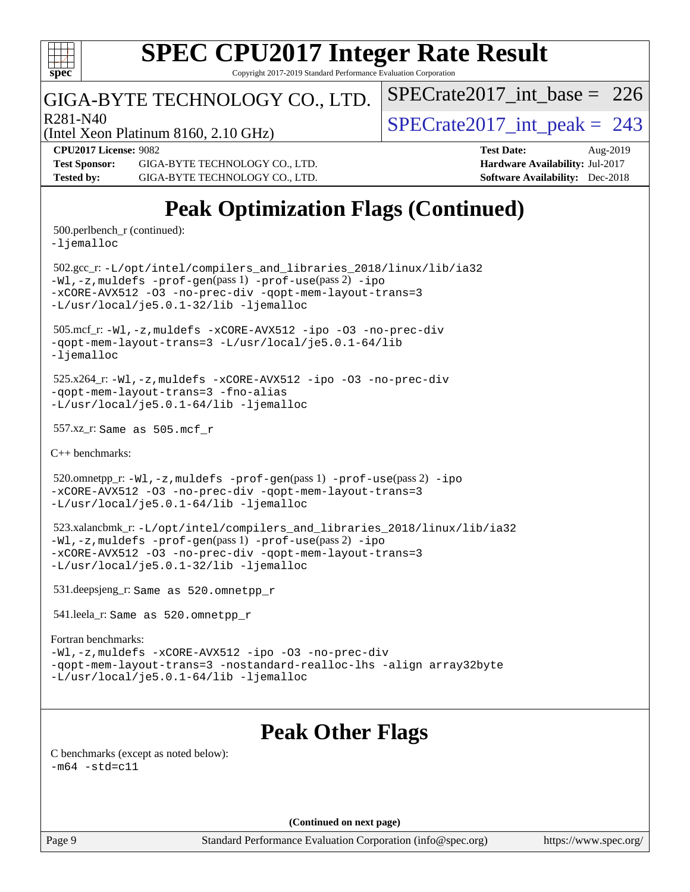

Copyright 2017-2019 Standard Performance Evaluation Corporation

# GIGA-BYTE TECHNOLOGY CO., LTD.

 $R_{281-N40}$ <br>[SPECrate2017\\_int\\_peak =](http://www.spec.org/auto/cpu2017/Docs/result-fields.html#SPECrate2017intpeak) 243

 $SPECrate2017\_int\_base = 226$ 

(Intel Xeon Platinum 8160, 2.10 GHz)

**[Test Sponsor:](http://www.spec.org/auto/cpu2017/Docs/result-fields.html#TestSponsor)** GIGA-BYTE TECHNOLOGY CO., LTD. **[Hardware Availability:](http://www.spec.org/auto/cpu2017/Docs/result-fields.html#HardwareAvailability)** Jul-2017 **[Tested by:](http://www.spec.org/auto/cpu2017/Docs/result-fields.html#Testedby)** GIGA-BYTE TECHNOLOGY CO., LTD. **[Software Availability:](http://www.spec.org/auto/cpu2017/Docs/result-fields.html#SoftwareAvailability)** Dec-2018

**[CPU2017 License:](http://www.spec.org/auto/cpu2017/Docs/result-fields.html#CPU2017License)** 9082 **[Test Date:](http://www.spec.org/auto/cpu2017/Docs/result-fields.html#TestDate)** Aug-2019

# **[Peak Optimization Flags \(Continued\)](http://www.spec.org/auto/cpu2017/Docs/result-fields.html#PeakOptimizationFlags)**

500.perlbench\_r (continued):

[-ljemalloc](http://www.spec.org/cpu2017/results/res2019q3/cpu2017-20190805-16472.flags.html#user_peakEXTRA_LIBS500_perlbench_r_jemalloc_link_lib_d1249b907c500fa1c0672f44f562e3d0f79738ae9e3c4a9c376d49f265a04b9c99b167ecedbf6711b3085be911c67ff61f150a17b3472be731631ba4d0471706)

 502.gcc\_r: [-L/opt/intel/compilers\\_and\\_libraries\\_2018/linux/lib/ia32](http://www.spec.org/cpu2017/results/res2019q3/cpu2017-20190805-16472.flags.html#user_peakCCLD502_gcc_r_Enable-32bit-runtime_af243bdb1d79e4c7a4f720bf8275e627de2ecd461de63307bc14cef0633fde3cd7bb2facb32dcc8be9566045fb55d40ce2b72b725f73827aa7833441b71b9343) [-Wl,-z,muldefs](http://www.spec.org/cpu2017/results/res2019q3/cpu2017-20190805-16472.flags.html#user_peakEXTRA_LDFLAGS502_gcc_r_link_force_multiple1_b4cbdb97b34bdee9ceefcfe54f4c8ea74255f0b02a4b23e853cdb0e18eb4525ac79b5a88067c842dd0ee6996c24547a27a4b99331201badda8798ef8a743f577) [-prof-gen](http://www.spec.org/cpu2017/results/res2019q3/cpu2017-20190805-16472.flags.html#user_peakPASS1_CFLAGSPASS1_LDFLAGS502_gcc_r_prof_gen_5aa4926d6013ddb2a31985c654b3eb18169fc0c6952a63635c234f711e6e63dd76e94ad52365559451ec499a2cdb89e4dc58ba4c67ef54ca681ffbe1461d6b36)(pass 1) [-prof-use](http://www.spec.org/cpu2017/results/res2019q3/cpu2017-20190805-16472.flags.html#user_peakPASS2_CFLAGSPASS2_LDFLAGS502_gcc_r_prof_use_1a21ceae95f36a2b53c25747139a6c16ca95bd9def2a207b4f0849963b97e94f5260e30a0c64f4bb623698870e679ca08317ef8150905d41bd88c6f78df73f19)(pass 2) [-ipo](http://www.spec.org/cpu2017/results/res2019q3/cpu2017-20190805-16472.flags.html#user_peakPASS1_COPTIMIZEPASS2_COPTIMIZE502_gcc_r_f-ipo) [-xCORE-AVX512](http://www.spec.org/cpu2017/results/res2019q3/cpu2017-20190805-16472.flags.html#user_peakPASS2_COPTIMIZE502_gcc_r_f-xCORE-AVX512) [-O3](http://www.spec.org/cpu2017/results/res2019q3/cpu2017-20190805-16472.flags.html#user_peakPASS1_COPTIMIZEPASS2_COPTIMIZE502_gcc_r_f-O3) [-no-prec-div](http://www.spec.org/cpu2017/results/res2019q3/cpu2017-20190805-16472.flags.html#user_peakPASS1_COPTIMIZEPASS2_COPTIMIZE502_gcc_r_f-no-prec-div) [-qopt-mem-layout-trans=3](http://www.spec.org/cpu2017/results/res2019q3/cpu2017-20190805-16472.flags.html#user_peakPASS1_COPTIMIZEPASS2_COPTIMIZE502_gcc_r_f-qopt-mem-layout-trans_de80db37974c74b1f0e20d883f0b675c88c3b01e9d123adea9b28688d64333345fb62bc4a798493513fdb68f60282f9a726aa07f478b2f7113531aecce732043) [-L/usr/local/je5.0.1-32/lib](http://www.spec.org/cpu2017/results/res2019q3/cpu2017-20190805-16472.flags.html#user_peakEXTRA_LIBS502_gcc_r_jemalloc_link_path32_e29f22e8e6c17053bbc6a0971f5a9c01a601a06bb1a59df2084b77a2fe0a2995b64fd4256feaeea39eeba3aae142e96e2b2b0a28974019c0c0c88139a84f900a) [-ljemalloc](http://www.spec.org/cpu2017/results/res2019q3/cpu2017-20190805-16472.flags.html#user_peakEXTRA_LIBS502_gcc_r_jemalloc_link_lib_d1249b907c500fa1c0672f44f562e3d0f79738ae9e3c4a9c376d49f265a04b9c99b167ecedbf6711b3085be911c67ff61f150a17b3472be731631ba4d0471706)

 505.mcf\_r: [-Wl,-z,muldefs](http://www.spec.org/cpu2017/results/res2019q3/cpu2017-20190805-16472.flags.html#user_peakEXTRA_LDFLAGS505_mcf_r_link_force_multiple1_b4cbdb97b34bdee9ceefcfe54f4c8ea74255f0b02a4b23e853cdb0e18eb4525ac79b5a88067c842dd0ee6996c24547a27a4b99331201badda8798ef8a743f577) [-xCORE-AVX512](http://www.spec.org/cpu2017/results/res2019q3/cpu2017-20190805-16472.flags.html#user_peakCOPTIMIZE505_mcf_r_f-xCORE-AVX512) [-ipo](http://www.spec.org/cpu2017/results/res2019q3/cpu2017-20190805-16472.flags.html#user_peakCOPTIMIZE505_mcf_r_f-ipo) [-O3](http://www.spec.org/cpu2017/results/res2019q3/cpu2017-20190805-16472.flags.html#user_peakCOPTIMIZE505_mcf_r_f-O3) [-no-prec-div](http://www.spec.org/cpu2017/results/res2019q3/cpu2017-20190805-16472.flags.html#user_peakCOPTIMIZE505_mcf_r_f-no-prec-div) [-qopt-mem-layout-trans=3](http://www.spec.org/cpu2017/results/res2019q3/cpu2017-20190805-16472.flags.html#user_peakCOPTIMIZE505_mcf_r_f-qopt-mem-layout-trans_de80db37974c74b1f0e20d883f0b675c88c3b01e9d123adea9b28688d64333345fb62bc4a798493513fdb68f60282f9a726aa07f478b2f7113531aecce732043) [-L/usr/local/je5.0.1-64/lib](http://www.spec.org/cpu2017/results/res2019q3/cpu2017-20190805-16472.flags.html#user_peakEXTRA_LIBS505_mcf_r_jemalloc_link_path64_4b10a636b7bce113509b17f3bd0d6226c5fb2346b9178c2d0232c14f04ab830f976640479e5c33dc2bcbbdad86ecfb6634cbbd4418746f06f368b512fced5394) [-ljemalloc](http://www.spec.org/cpu2017/results/res2019q3/cpu2017-20190805-16472.flags.html#user_peakEXTRA_LIBS505_mcf_r_jemalloc_link_lib_d1249b907c500fa1c0672f44f562e3d0f79738ae9e3c4a9c376d49f265a04b9c99b167ecedbf6711b3085be911c67ff61f150a17b3472be731631ba4d0471706)

 525.x264\_r: [-Wl,-z,muldefs](http://www.spec.org/cpu2017/results/res2019q3/cpu2017-20190805-16472.flags.html#user_peakEXTRA_LDFLAGS525_x264_r_link_force_multiple1_b4cbdb97b34bdee9ceefcfe54f4c8ea74255f0b02a4b23e853cdb0e18eb4525ac79b5a88067c842dd0ee6996c24547a27a4b99331201badda8798ef8a743f577) [-xCORE-AVX512](http://www.spec.org/cpu2017/results/res2019q3/cpu2017-20190805-16472.flags.html#user_peakCOPTIMIZE525_x264_r_f-xCORE-AVX512) [-ipo](http://www.spec.org/cpu2017/results/res2019q3/cpu2017-20190805-16472.flags.html#user_peakCOPTIMIZE525_x264_r_f-ipo) [-O3](http://www.spec.org/cpu2017/results/res2019q3/cpu2017-20190805-16472.flags.html#user_peakCOPTIMIZE525_x264_r_f-O3) [-no-prec-div](http://www.spec.org/cpu2017/results/res2019q3/cpu2017-20190805-16472.flags.html#user_peakCOPTIMIZE525_x264_r_f-no-prec-div) [-qopt-mem-layout-trans=3](http://www.spec.org/cpu2017/results/res2019q3/cpu2017-20190805-16472.flags.html#user_peakCOPTIMIZE525_x264_r_f-qopt-mem-layout-trans_de80db37974c74b1f0e20d883f0b675c88c3b01e9d123adea9b28688d64333345fb62bc4a798493513fdb68f60282f9a726aa07f478b2f7113531aecce732043) [-fno-alias](http://www.spec.org/cpu2017/results/res2019q3/cpu2017-20190805-16472.flags.html#user_peakEXTRA_OPTIMIZE525_x264_r_f-no-alias_77dbac10d91cbfe898fbf4a29d1b29b694089caa623bdd1baccc9957d4edbe8d106c0b357e2748a65b44fc9e83d78098bb898077f3fe92f9faf24f7bd4a07ed7) [-L/usr/local/je5.0.1-64/lib](http://www.spec.org/cpu2017/results/res2019q3/cpu2017-20190805-16472.flags.html#user_peakEXTRA_LIBS525_x264_r_jemalloc_link_path64_4b10a636b7bce113509b17f3bd0d6226c5fb2346b9178c2d0232c14f04ab830f976640479e5c33dc2bcbbdad86ecfb6634cbbd4418746f06f368b512fced5394) [-ljemalloc](http://www.spec.org/cpu2017/results/res2019q3/cpu2017-20190805-16472.flags.html#user_peakEXTRA_LIBS525_x264_r_jemalloc_link_lib_d1249b907c500fa1c0672f44f562e3d0f79738ae9e3c4a9c376d49f265a04b9c99b167ecedbf6711b3085be911c67ff61f150a17b3472be731631ba4d0471706)

557.xz\_r: Same as 505.mcf\_r

[C++ benchmarks:](http://www.spec.org/auto/cpu2017/Docs/result-fields.html#CXXbenchmarks)

520.omnetpp\_r: $-Wl$ ,-z,muldefs -prof-qen(pass 1) [-prof-use](http://www.spec.org/cpu2017/results/res2019q3/cpu2017-20190805-16472.flags.html#user_peakPASS2_CXXFLAGSPASS2_LDFLAGS520_omnetpp_r_prof_use_1a21ceae95f36a2b53c25747139a6c16ca95bd9def2a207b4f0849963b97e94f5260e30a0c64f4bb623698870e679ca08317ef8150905d41bd88c6f78df73f19)(pass 2) [-ipo](http://www.spec.org/cpu2017/results/res2019q3/cpu2017-20190805-16472.flags.html#user_peakPASS1_CXXOPTIMIZEPASS2_CXXOPTIMIZE520_omnetpp_r_f-ipo) [-xCORE-AVX512](http://www.spec.org/cpu2017/results/res2019q3/cpu2017-20190805-16472.flags.html#user_peakPASS2_CXXOPTIMIZE520_omnetpp_r_f-xCORE-AVX512) [-O3](http://www.spec.org/cpu2017/results/res2019q3/cpu2017-20190805-16472.flags.html#user_peakPASS1_CXXOPTIMIZEPASS2_CXXOPTIMIZE520_omnetpp_r_f-O3) [-no-prec-div](http://www.spec.org/cpu2017/results/res2019q3/cpu2017-20190805-16472.flags.html#user_peakPASS1_CXXOPTIMIZEPASS2_CXXOPTIMIZE520_omnetpp_r_f-no-prec-div) [-qopt-mem-layout-trans=3](http://www.spec.org/cpu2017/results/res2019q3/cpu2017-20190805-16472.flags.html#user_peakPASS1_CXXOPTIMIZEPASS2_CXXOPTIMIZE520_omnetpp_r_f-qopt-mem-layout-trans_de80db37974c74b1f0e20d883f0b675c88c3b01e9d123adea9b28688d64333345fb62bc4a798493513fdb68f60282f9a726aa07f478b2f7113531aecce732043) [-L/usr/local/je5.0.1-64/lib](http://www.spec.org/cpu2017/results/res2019q3/cpu2017-20190805-16472.flags.html#user_peakEXTRA_LIBS520_omnetpp_r_jemalloc_link_path64_4b10a636b7bce113509b17f3bd0d6226c5fb2346b9178c2d0232c14f04ab830f976640479e5c33dc2bcbbdad86ecfb6634cbbd4418746f06f368b512fced5394) [-ljemalloc](http://www.spec.org/cpu2017/results/res2019q3/cpu2017-20190805-16472.flags.html#user_peakEXTRA_LIBS520_omnetpp_r_jemalloc_link_lib_d1249b907c500fa1c0672f44f562e3d0f79738ae9e3c4a9c376d49f265a04b9c99b167ecedbf6711b3085be911c67ff61f150a17b3472be731631ba4d0471706)

 523.xalancbmk\_r: [-L/opt/intel/compilers\\_and\\_libraries\\_2018/linux/lib/ia32](http://www.spec.org/cpu2017/results/res2019q3/cpu2017-20190805-16472.flags.html#user_peakCXXLD523_xalancbmk_r_Enable-32bit-runtime_af243bdb1d79e4c7a4f720bf8275e627de2ecd461de63307bc14cef0633fde3cd7bb2facb32dcc8be9566045fb55d40ce2b72b725f73827aa7833441b71b9343) [-Wl,-z,muldefs](http://www.spec.org/cpu2017/results/res2019q3/cpu2017-20190805-16472.flags.html#user_peakEXTRA_LDFLAGS523_xalancbmk_r_link_force_multiple1_b4cbdb97b34bdee9ceefcfe54f4c8ea74255f0b02a4b23e853cdb0e18eb4525ac79b5a88067c842dd0ee6996c24547a27a4b99331201badda8798ef8a743f577) [-prof-gen](http://www.spec.org/cpu2017/results/res2019q3/cpu2017-20190805-16472.flags.html#user_peakPASS1_CXXFLAGSPASS1_LDFLAGS523_xalancbmk_r_prof_gen_5aa4926d6013ddb2a31985c654b3eb18169fc0c6952a63635c234f711e6e63dd76e94ad52365559451ec499a2cdb89e4dc58ba4c67ef54ca681ffbe1461d6b36)(pass 1) [-prof-use](http://www.spec.org/cpu2017/results/res2019q3/cpu2017-20190805-16472.flags.html#user_peakPASS2_CXXFLAGSPASS2_LDFLAGS523_xalancbmk_r_prof_use_1a21ceae95f36a2b53c25747139a6c16ca95bd9def2a207b4f0849963b97e94f5260e30a0c64f4bb623698870e679ca08317ef8150905d41bd88c6f78df73f19)(pass 2) [-ipo](http://www.spec.org/cpu2017/results/res2019q3/cpu2017-20190805-16472.flags.html#user_peakPASS1_CXXOPTIMIZEPASS2_CXXOPTIMIZE523_xalancbmk_r_f-ipo) [-xCORE-AVX512](http://www.spec.org/cpu2017/results/res2019q3/cpu2017-20190805-16472.flags.html#user_peakPASS2_CXXOPTIMIZE523_xalancbmk_r_f-xCORE-AVX512) [-O3](http://www.spec.org/cpu2017/results/res2019q3/cpu2017-20190805-16472.flags.html#user_peakPASS1_CXXOPTIMIZEPASS2_CXXOPTIMIZE523_xalancbmk_r_f-O3) [-no-prec-div](http://www.spec.org/cpu2017/results/res2019q3/cpu2017-20190805-16472.flags.html#user_peakPASS1_CXXOPTIMIZEPASS2_CXXOPTIMIZE523_xalancbmk_r_f-no-prec-div) [-qopt-mem-layout-trans=3](http://www.spec.org/cpu2017/results/res2019q3/cpu2017-20190805-16472.flags.html#user_peakPASS1_CXXOPTIMIZEPASS2_CXXOPTIMIZE523_xalancbmk_r_f-qopt-mem-layout-trans_de80db37974c74b1f0e20d883f0b675c88c3b01e9d123adea9b28688d64333345fb62bc4a798493513fdb68f60282f9a726aa07f478b2f7113531aecce732043) [-L/usr/local/je5.0.1-32/lib](http://www.spec.org/cpu2017/results/res2019q3/cpu2017-20190805-16472.flags.html#user_peakEXTRA_LIBS523_xalancbmk_r_jemalloc_link_path32_e29f22e8e6c17053bbc6a0971f5a9c01a601a06bb1a59df2084b77a2fe0a2995b64fd4256feaeea39eeba3aae142e96e2b2b0a28974019c0c0c88139a84f900a) [-ljemalloc](http://www.spec.org/cpu2017/results/res2019q3/cpu2017-20190805-16472.flags.html#user_peakEXTRA_LIBS523_xalancbmk_r_jemalloc_link_lib_d1249b907c500fa1c0672f44f562e3d0f79738ae9e3c4a9c376d49f265a04b9c99b167ecedbf6711b3085be911c67ff61f150a17b3472be731631ba4d0471706)

531.deepsjeng\_r: Same as 520.omnetpp\_r

541.leela\_r: Same as 520.omnetpp\_r

#### [Fortran benchmarks](http://www.spec.org/auto/cpu2017/Docs/result-fields.html#Fortranbenchmarks):

[-Wl,-z,muldefs](http://www.spec.org/cpu2017/results/res2019q3/cpu2017-20190805-16472.flags.html#user_FCpeak_link_force_multiple1_b4cbdb97b34bdee9ceefcfe54f4c8ea74255f0b02a4b23e853cdb0e18eb4525ac79b5a88067c842dd0ee6996c24547a27a4b99331201badda8798ef8a743f577) [-xCORE-AVX512](http://www.spec.org/cpu2017/results/res2019q3/cpu2017-20190805-16472.flags.html#user_FCpeak_f-xCORE-AVX512) [-ipo](http://www.spec.org/cpu2017/results/res2019q3/cpu2017-20190805-16472.flags.html#user_FCpeak_f-ipo) [-O3](http://www.spec.org/cpu2017/results/res2019q3/cpu2017-20190805-16472.flags.html#user_FCpeak_f-O3) [-no-prec-div](http://www.spec.org/cpu2017/results/res2019q3/cpu2017-20190805-16472.flags.html#user_FCpeak_f-no-prec-div) [-qopt-mem-layout-trans=3](http://www.spec.org/cpu2017/results/res2019q3/cpu2017-20190805-16472.flags.html#user_FCpeak_f-qopt-mem-layout-trans_de80db37974c74b1f0e20d883f0b675c88c3b01e9d123adea9b28688d64333345fb62bc4a798493513fdb68f60282f9a726aa07f478b2f7113531aecce732043) [-nostandard-realloc-lhs](http://www.spec.org/cpu2017/results/res2019q3/cpu2017-20190805-16472.flags.html#user_FCpeak_f_2003_std_realloc_82b4557e90729c0f113870c07e44d33d6f5a304b4f63d4c15d2d0f1fab99f5daaed73bdb9275d9ae411527f28b936061aa8b9c8f2d63842963b95c9dd6426b8a) [-align array32byte](http://www.spec.org/cpu2017/results/res2019q3/cpu2017-20190805-16472.flags.html#user_FCpeak_align_array32byte_b982fe038af199962ba9a80c053b8342c548c85b40b8e86eb3cc33dee0d7986a4af373ac2d51c3f7cf710a18d62fdce2948f201cd044323541f22fc0fffc51b6) [-L/usr/local/je5.0.1-64/lib](http://www.spec.org/cpu2017/results/res2019q3/cpu2017-20190805-16472.flags.html#user_FCpeak_jemalloc_link_path64_4b10a636b7bce113509b17f3bd0d6226c5fb2346b9178c2d0232c14f04ab830f976640479e5c33dc2bcbbdad86ecfb6634cbbd4418746f06f368b512fced5394) [-ljemalloc](http://www.spec.org/cpu2017/results/res2019q3/cpu2017-20190805-16472.flags.html#user_FCpeak_jemalloc_link_lib_d1249b907c500fa1c0672f44f562e3d0f79738ae9e3c4a9c376d49f265a04b9c99b167ecedbf6711b3085be911c67ff61f150a17b3472be731631ba4d0471706)

# **[Peak Other Flags](http://www.spec.org/auto/cpu2017/Docs/result-fields.html#PeakOtherFlags)**

[C benchmarks \(except as noted below\)](http://www.spec.org/auto/cpu2017/Docs/result-fields.html#Cbenchmarksexceptasnotedbelow):  $-m64 - std= c11$  $-m64 - std= c11$ 

**(Continued on next page)**

Page 9 Standard Performance Evaluation Corporation [\(info@spec.org\)](mailto:info@spec.org) <https://www.spec.org/>